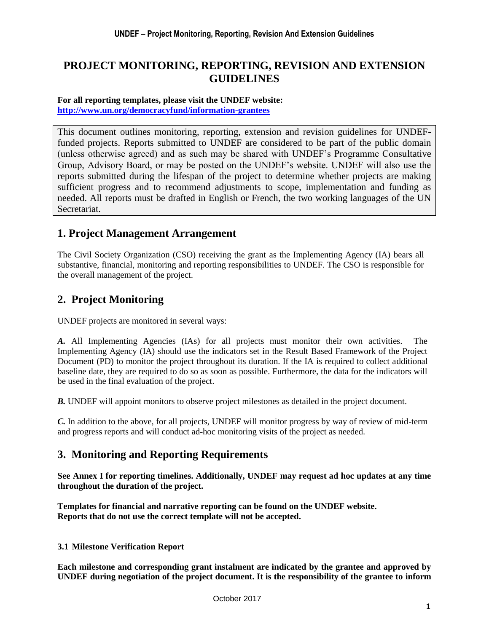# **PROJECT MONITORING, REPORTING, REVISION AND EXTENSION GUIDELINES**

#### **For all reporting templates, please visit the UNDEF website: <http://www.un.org/democracyfund/information-grantees>**

This document outlines monitoring, reporting, extension and revision guidelines for UNDEFfunded projects. Reports submitted to UNDEF are considered to be part of the public domain (unless otherwise agreed) and as such may be shared with UNDEF's Programme Consultative Group, Advisory Board, or may be posted on the UNDEF's website. UNDEF will also use the reports submitted during the lifespan of the project to determine whether projects are making sufficient progress and to recommend adjustments to scope, implementation and funding as needed. All reports must be drafted in English or French, the two working languages of the UN Secretariat.

## **1. Project Management Arrangement**

The Civil Society Organization (CSO) receiving the grant as the Implementing Agency (IA) bears all substantive, financial, monitoring and reporting responsibilities to UNDEF. The CSO is responsible for the overall management of the project.

# **2. Project Monitoring**

UNDEF projects are monitored in several ways:

*A.* All Implementing Agencies (IAs) for all projects must monitor their own activities. The Implementing Agency (IA) should use the indicators set in the Result Based Framework of the Project Document (PD) to monitor the project throughout its duration. If the IA is required to collect additional baseline date, they are required to do so as soon as possible. Furthermore, the data for the indicators will be used in the final evaluation of the project.

*B.* UNDEF will appoint monitors to observe project milestones as detailed in the project document.

*C.* In addition to the above, for all projects, UNDEF will monitor progress by way of review of mid-term and progress reports and will conduct ad-hoc monitoring visits of the project as needed.

## **3. Monitoring and Reporting Requirements**

**See Annex I for reporting timelines. Additionally, UNDEF may request ad hoc updates at any time throughout the duration of the project.** 

**Templates for financial and narrative reporting can be found on the UNDEF website. Reports that do not use the correct template will not be accepted.** 

### **3.1 Milestone Verification Report**

**Each milestone and corresponding grant instalment are indicated by the grantee and approved by UNDEF during negotiation of the project document. It is the responsibility of the grantee to inform**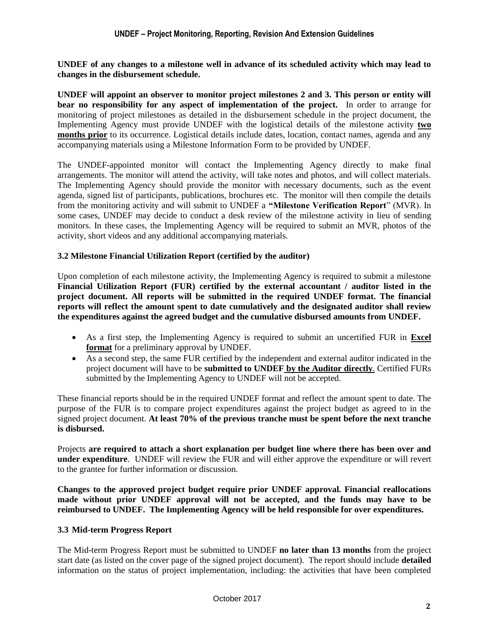**UNDEF of any changes to a milestone well in advance of its scheduled activity which may lead to changes in the disbursement schedule.**

**UNDEF will appoint an observer to monitor project milestones 2 and 3. This person or entity will bear no responsibility for any aspect of implementation of the project.** In order to arrange for monitoring of project milestones as detailed in the disbursement schedule in the project document, the Implementing Agency must provide UNDEF with the logistical details of the milestone activity **two months prior** to its occurrence. Logistical details include dates, location, contact names, agenda and any accompanying materials using a Milestone Information Form to be provided by UNDEF.

The UNDEF-appointed monitor will contact the Implementing Agency directly to make final arrangements. The monitor will attend the activity, will take notes and photos, and will collect materials. The Implementing Agency should provide the monitor with necessary documents, such as the event agenda, signed list of participants, publications, brochures etc. The monitor will then compile the details from the monitoring activity and will submit to UNDEF a **"Milestone Verification Report**" (MVR). In some cases, UNDEF may decide to conduct a desk review of the milestone activity in lieu of sending monitors. In these cases, the Implementing Agency will be required to submit an MVR, photos of the activity, short videos and any additional accompanying materials.

#### **3.2 Milestone Financial Utilization Report (certified by the auditor)**

Upon completion of each milestone activity, the Implementing Agency is required to submit a milestone **[Financial Utilization Report \(FUR\)](http://www.un.org/democracyfund/Docs/2R_UNDEF%20Financial%20Utilization%20Report_CSO%20implemented_EN.xls) certified by the external accountant / auditor listed in the project document. All reports will be submitted in the required UNDEF format. The financial reports will reflect the amount spent to date cumulatively and the designated auditor shall review the expenditures against the agreed budget and the cumulative disbursed amounts from UNDEF.** 

- As a first step, the Implementing Agency is required to submit an uncertified FUR in **Excel format** for a preliminary approval by UNDEF.
- As a second step, the same FUR certified by the independent and external auditor indicated in the project document will have to be **submitted to UNDEF by the Auditor directly**. Certified FURs submitted by the Implementing Agency to UNDEF will not be accepted.

These financial reports should be in the required UNDEF format and reflect the amount spent to date. The purpose of the FUR is to compare project expenditures against the project budget as agreed to in the signed project document. **At least 70% of the previous tranche must be spent before the next tranche is disbursed.**

Projects **are required to attach a short explanation per budget line where there has been over and under expenditure**. UNDEF will review the FUR and will either approve the expenditure or will revert to the grantee for further information or discussion.

**Changes to the approved project budget require prior UNDEF approval. Financial reallocations made without prior UNDEF approval will not be accepted, and the funds may have to be reimbursed to UNDEF. The Implementing Agency will be held responsible for over expenditures.**

#### **3.3 Mid-term Progress Report**

The Mid-term Progress Report must be submitted to UNDEF **no later than 13 months** from the project start date (as listed on the cover page of the signed project document). The report should include **detailed** information on the status of project implementation, including: the activities that have been completed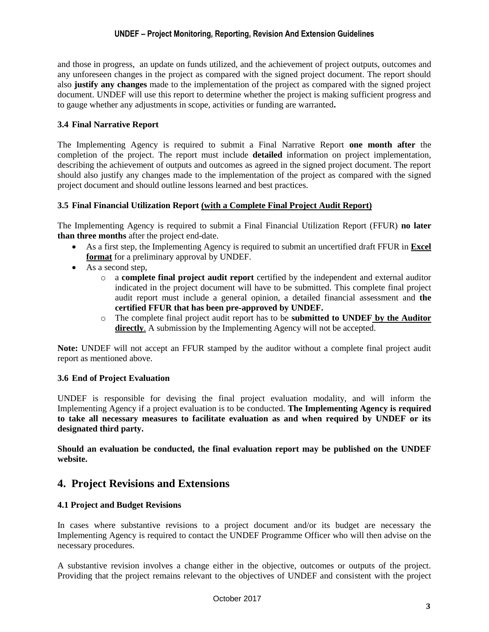#### **UNDEF – Project Monitoring, Reporting, Revision And Extension Guidelines**

and those in progress, an update on funds utilized, and the achievement of project outputs, outcomes and any unforeseen changes in the project as compared with the signed project document. The report should also **justify any changes** made to the implementation of the project as compared with the signed project document. UNDEF will use this report to determine whether the project is making sufficient progress and to gauge whether any adjustments in scope, activities or funding are warranted**.** 

#### **3.4 Final Narrative Report**

The Implementing Agency is required to submit a Final Narrative Report **one month after** the completion of the project. The report must include **detailed** information on project implementation, describing the achievement of outputs and outcomes as agreed in the signed project document. The report should also justify any changes made to the implementation of the project as compared with the signed project document and should outline lessons learned and best practices.

#### **3.5 Final Financial Utilization Report (with a Complete Final Project Audit Report)**

The Implementing Agency is required to submit a Final Financial Utilization Report (FFUR) **no later than three months** after the project end-date.

- As a first step, the Implementing Agency is required to submit an uncertified draft FFUR in **Excel format** for a preliminary approval by UNDEF.
- As a second step,
	- o a **complete final project audit report** certified by the independent and external auditor indicated in the project document will have to be submitted. This complete final project audit report must include a general opinion, a detailed financial assessment and **the certified FFUR that has been pre-approved by UNDEF.**
	- o The complete final project audit report has to be **submitted to UNDEF by the Auditor**  directly. A submission by the Implementing Agency will not be accepted.

**Note:** UNDEF will not accept an FFUR stamped by the auditor without a complete final project audit report as mentioned above.

#### **3.6 End of Project Evaluation**

UNDEF is responsible for devising the final project evaluation modality, and will inform the Implementing Agency if a project evaluation is to be conducted. **The Implementing Agency is required to take all necessary measures to facilitate evaluation as and when required by UNDEF or its designated third party.** 

**Should an evaluation be conducted, the final evaluation report may be published on the UNDEF website.**

## **4. Project Revisions and Extensions**

#### **4.1 Project and Budget Revisions**

In cases where substantive revisions to a project document and/or its budget are necessary the Implementing Agency is required to contact the UNDEF Programme Officer who will then advise on the necessary procedures.

A substantive revision involves a change either in the objective, outcomes or outputs of the project. Providing that the project remains relevant to the objectives of UNDEF and consistent with the project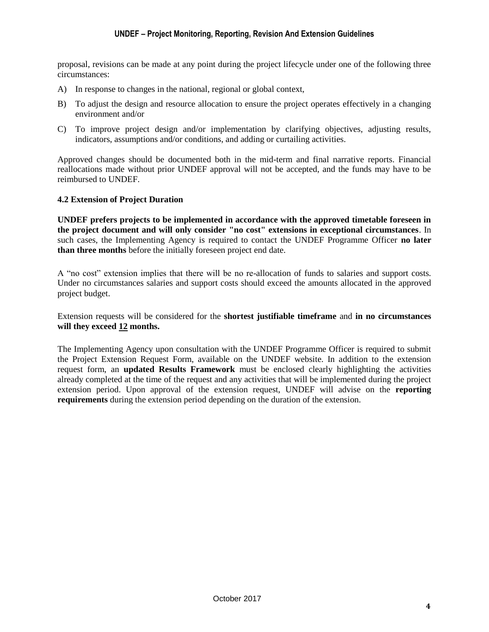#### **UNDEF – Project Monitoring, Reporting, Revision And Extension Guidelines**

proposal, revisions can be made at any point during the project lifecycle under one of the following three circumstances:

- A) In response to changes in the national, regional or global context,
- B) To adjust the design and resource allocation to ensure the project operates effectively in a changing environment and/or
- C) To improve project design and/or implementation by clarifying objectives, adjusting results, indicators, assumptions and/or conditions, and adding or curtailing activities.

Approved changes should be documented both in the mid-term and final narrative reports. Financial reallocations made without prior UNDEF approval will not be accepted, and the funds may have to be reimbursed to UNDEF.

#### **4.2 Extension of Project Duration**

**UNDEF prefers projects to be implemented in accordance with the approved timetable foreseen in the project document and will only consider "no cost" extensions in exceptional circumstances**. In such cases, the Implementing Agency is required to contact the UNDEF Programme Officer **no later than three months** before the initially foreseen project end date.

A "no cost" extension implies that there will be no re-allocation of funds to salaries and support costs. Under no circumstances salaries and support costs should exceed the amounts allocated in the approved project budget.

Extension requests will be considered for the **shortest justifiable timeframe** and **in no circumstances will they exceed 12 months.** 

The Implementing Agency upon consultation with the UNDEF Programme Officer is required to submit the Project Extension Request Form, available on the UNDEF website. In addition to the extension request form, an **updated Results Framework** must be enclosed clearly highlighting the activities already completed at the time of the request and any activities that will be implemented during the project extension period. Upon approval of the extension request, UNDEF will advise on the **reporting requirements** during the extension period depending on the duration of the extension.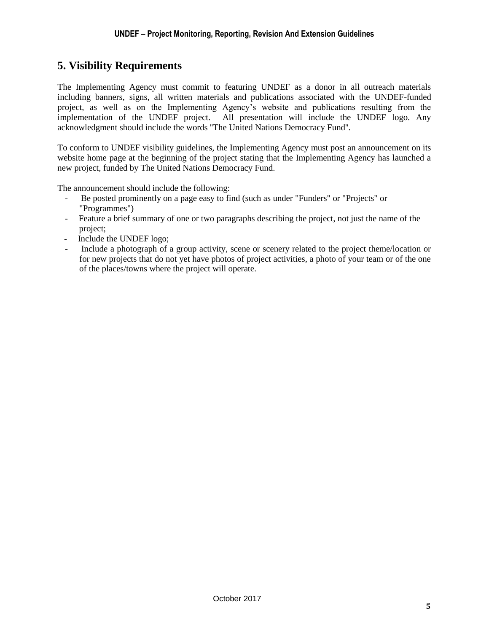# **5. Visibility Requirements**

The Implementing Agency must commit to featuring UNDEF as a donor in all outreach materials including banners, signs, all written materials and publications associated with the UNDEF-funded project, as well as on the Implementing Agency's website and publications resulting from the implementation of the UNDEF project. All presentation will include the UNDEF logo. Any acknowledgment should include the words ''The United Nations Democracy Fund''.

To conform to UNDEF visibility guidelines, the Implementing Agency must post an announcement on its website home page at the beginning of the project stating that the Implementing Agency has launched a new project, funded by The United Nations Democracy Fund.

The announcement should include the following:

- Be posted prominently on a page easy to find (such as under "Funders" or "Projects" or "Programmes")
- Feature a brief summary of one or two paragraphs describing the project, not just the name of the project;
- Include the UNDEF logo;
- Include a photograph of a group activity, scene or scenery related to the project theme/location or for new projects that do not yet have photos of project activities, a photo of your team or of the one of the places/towns where the project will operate.